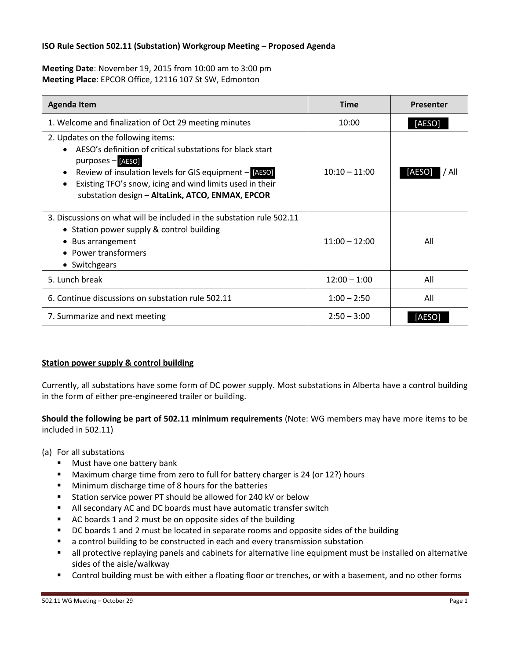### **ISO Rule Section 502.11 (Substation) Workgroup Meeting – Proposed Agenda**

**Meeting Date**: November 19, 2015 from 10:00 am to 3:00 pm **Meeting Place**: EPCOR Office, 12116 107 St SW, Edmonton

| <b>Agenda Item</b>                                                                                                                                                                                                                                                                             | <b>Time</b>     | <b>Presenter</b> |
|------------------------------------------------------------------------------------------------------------------------------------------------------------------------------------------------------------------------------------------------------------------------------------------------|-----------------|------------------|
| 1. Welcome and finalization of Oct 29 meeting minutes                                                                                                                                                                                                                                          | 10:00           | [AESO]           |
| 2. Updates on the following items:<br>AESO's definition of critical substations for black start<br>purposes - [AESO]<br>Review of insulation levels for GIS equipment - [AESO]<br>Existing TFO's snow, icing and wind limits used in their<br>substation design - AltaLink, ATCO, ENMAX, EPCOR | $10:10 - 11:00$ | [AESO]<br>All    |
| 3. Discussions on what will be included in the substation rule 502.11<br>• Station power supply & control building<br>• Bus arrangement<br><b>Power transformers</b><br>• Switchgears                                                                                                          | $11:00 - 12:00$ | All              |
| 5. Lunch break                                                                                                                                                                                                                                                                                 | $12:00 - 1:00$  | All              |
| 6. Continue discussions on substation rule 502.11                                                                                                                                                                                                                                              | $1:00 - 2:50$   | All              |
| 7. Summarize and next meeting                                                                                                                                                                                                                                                                  | $2:50 - 3:00$   | [AESO            |

# **Station power supply & control building**

Currently, all substations have some form of DC power supply. Most substations in Alberta have a control building in the form of either pre-engineered trailer or building.

## **Should the following be part of 502.11 minimum requirements** (Note: WG members may have more items to be included in 502.11)

(a) For all substations

- **Must have one battery bank**
- **Maximum charge time from zero to full for battery charger is 24 (or 12?) hours**
- **Minimum discharge time of 8 hours for the batteries**
- **Station service power PT should be allowed for 240 kV or below**
- All secondary AC and DC boards must have automatic transfer switch
- AC boards 1 and 2 must be on opposite sides of the building
- DC boards 1 and 2 must be located in separate rooms and opposite sides of the building
- a control building to be constructed in each and every transmission substation
- all protective replaying panels and cabinets for alternative line equipment must be installed on alternative sides of the aisle/walkway
- Control building must be with either a floating floor or trenches, or with a basement, and no other forms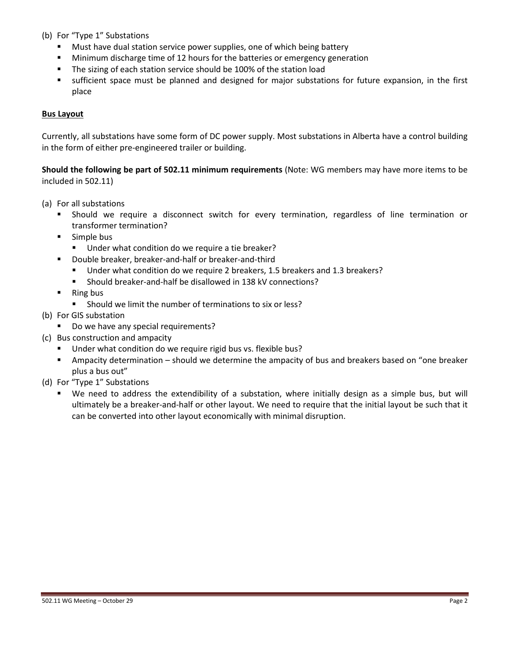- (b) For "Type 1" Substations
	- Must have dual station service power supplies, one of which being battery
	- **Minimum discharge time of 12 hours for the batteries or emergency generation**
	- The sizing of each station service should be 100% of the station load
	- sufficient space must be planned and designed for major substations for future expansion, in the first place

#### **Bus Layout**

Currently, all substations have some form of DC power supply. Most substations in Alberta have a control building in the form of either pre-engineered trailer or building.

**Should the following be part of 502.11 minimum requirements** (Note: WG members may have more items to be included in 502.11)

- (a) For all substations
	- Should we require a disconnect switch for every termination, regardless of line termination or transformer termination?
	- **Simple bus** 
		- Under what condition do we require a tie breaker?
	- Double breaker, breaker-and-half or breaker-and-third
		- Under what condition do we require 2 breakers, 1.5 breakers and 1.3 breakers?
		- Should breaker-and-half be disallowed in 138 kV connections?
	- Ring bus
		- Should we limit the number of terminations to six or less?
- (b) For GIS substation
	- Do we have any special requirements?
- (c) Bus construction and ampacity
	- Under what condition do we require rigid bus vs. flexible bus?
	- Ampacity determination should we determine the ampacity of bus and breakers based on "one breaker plus a bus out"
- (d) For "Type 1" Substations
	- We need to address the extendibility of a substation, where initially design as a simple bus, but will ultimately be a breaker-and-half or other layout. We need to require that the initial layout be such that it can be converted into other layout economically with minimal disruption.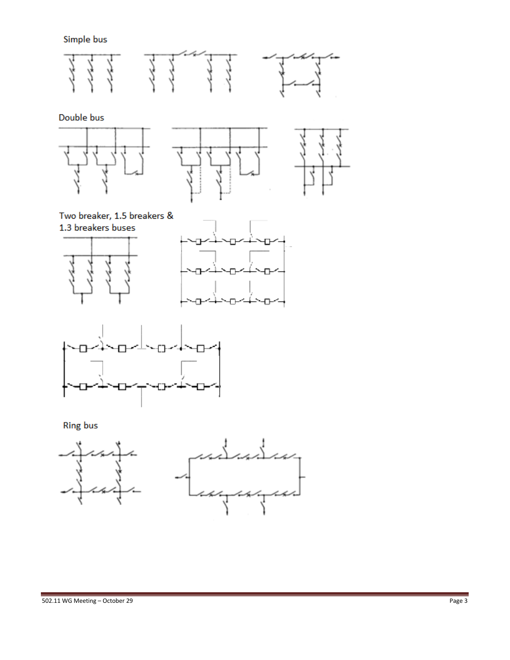Simple bus



Double bus







Two breaker, 1.5 breakers & 1.3 breakers buses







**Ring bus**